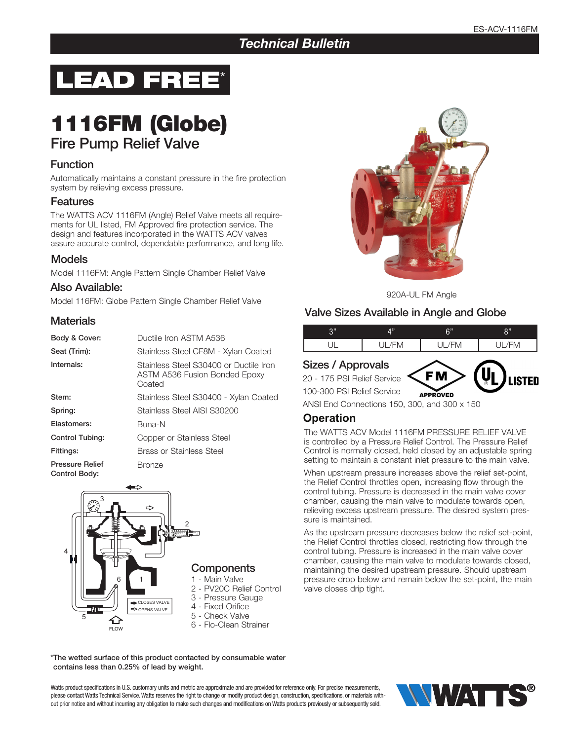## *Technical Bulletin*



# 1116FM (Globe)

# Fire Pump Relief Valve

#### **Function**

Automatically maintains a constant pressure in the fire protection system by relieving excess pressure.

#### Features

The WATTS ACV 1116FM (Angle) Relief Valve meets all requirements for UL listed, FM Approved fire protection service. The design and features incorporated in the WATTS ACV valves assure accurate control, dependable performance, and long life.

#### Models

Model 1116FM: Angle Pattern Single Chamber Relief Valve

#### Also Available:

Model 116FM: Globe Pattern Single Chamber Relief Valve 920A-UL FM Angle 920A-UL FM Angle

#### **Materials**

| Body & Cover:                           | Ductile Iron ASTM A536                                                                   |
|-----------------------------------------|------------------------------------------------------------------------------------------|
| Seat (Trim):                            | Stainless Steel CF8M - Xylan Coated                                                      |
| Internals:                              | Stainless Steel S30400 or Ductile Iron<br><b>ASTM A536 Fusion Bonded Epoxy</b><br>Coated |
| Stem:                                   | Stainless Steel S30400 - Xylan Coated                                                    |
| Spring:                                 | Stainless Steel AISI S30200                                                              |
| Elastomers:                             | Buna-N                                                                                   |
| <b>Control Tubing:</b>                  | Copper or Stainless Steel                                                                |
| Fittings:                               | <b>Brass or Stainless Steel</b>                                                          |
| <b>Pressure Relief</b><br>Control Body: | <b>Bronze</b>                                                                            |





Watts product specifications in U.S. customary units and metric are approximate and are provided for reference only. For precise measurements, please contact Watts Technical Service. Watts reserves the right to change or modify product design, construction, specifications, or materials without prior notice and without incurring any obligation to make such changes and modifications on Watts products previously or subsequently sold.





#### Valve Sizes Available in Angle and Globe

| $\bigcap$<br>ν | A 33.    | ድ።<br>э. | $^{\circ}$ |  |  |
|----------------|----------|----------|------------|--|--|
|                | $\cdots$ | └<br>ΙVΙ | iVI.       |  |  |

#### Sizes / Approvals

20 - 175 PSI Relief Service



100-300 PSI Relief Service

ANSI End Connections 150, 300, and 300 x 150

### **Operation**

The WATTS ACV Model 1116FM PRESSURE RELIEF VALVE is controlled by a Pressure Relief Control. The Pressure Relief Control is normally closed, held closed by an adjustable spring setting to maintain a constant inlet pressure to the main valve.

When upstream pressure increases above the relief set-point, the Relief Control throttles open, increasing flow through the control tubing. Pressure is decreased in the main valve cover chamber, causing the main valve to modulate towards open, relieving excess upstream pressure. The desired system pressure is maintained.

As the upstream pressure decreases below the relief set-point, the Relief Control throttles closed, restricting flow through the control tubing. Pressure is increased in the main valve cover chamber, causing the main valve to modulate towards closed, maintaining the desired upstream pressure. Should upstream pressure drop below and remain below the set-point, the main valve closes drip tight.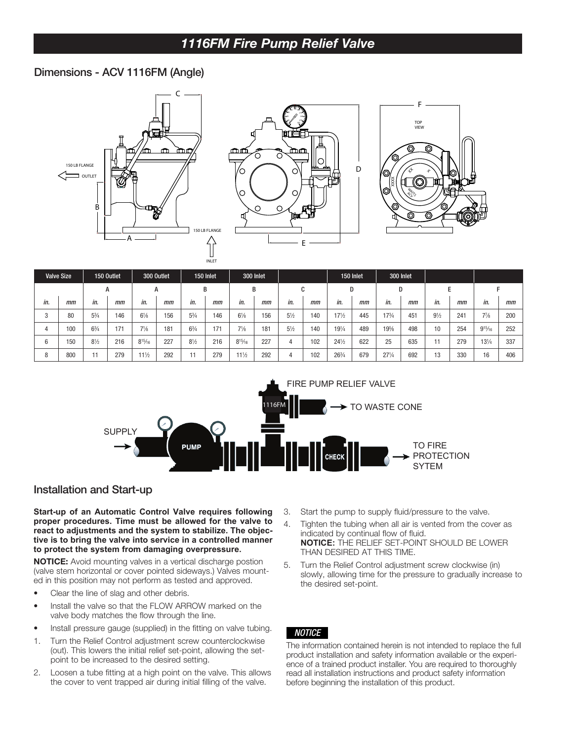#### 1116FM Fire Pump Relief Valve 11 51 July 1 1 IVI 1 II <del>G</del> F  $F M F_{\text{free}}$  During Deliat Value 25" 8 15/16"

24 1/2"

 $\mathcal{S}^{\mathcal{S}}$  and  $\mathcal{S}^{\mathcal{S}}$  and  $\mathcal{S}^{\mathcal{S}}$  and  $\mathcal{S}^{\mathcal{S}}$  and  $\mathcal{S}^{\mathcal{S}}$  and  $\mathcal{S}^{\mathcal{S}}$  and  $\mathcal{S}^{\mathcal{S}}$  and  $\mathcal{S}^{\mathcal{S}}$  and  $\mathcal{S}^{\mathcal{S}}$  and  $\mathcal{S}^{\mathcal{S}}$  and  $\mathcal{S}^{\mathcal{S}}$  and

8 1/2"

#### Dimensions - ACV 1116FM (Angle)

6 150

5 3/4"

8 1/2"

6 1/8"

8 15/16"







5 1/4"

9 1/2"

11" 4"

Ø13.25"

|     | <b>Valve Size</b> |                | 150 Outlet |                 | 300 Outlet |                | 150 Inlet |                 | 300 Inlet |                |        |                 | 150 Inlet |                 | 300 Inlet |                |     |                 |     |
|-----|-------------------|----------------|------------|-----------------|------------|----------------|-----------|-----------------|-----------|----------------|--------|-----------------|-----------|-----------------|-----------|----------------|-----|-----------------|-----|
|     |                   |                | A          |                 | A          |                | B         |                 | B         |                | r<br>U |                 | D         | D               |           |                |     |                 |     |
| in. | mm                | in.            | mm         | in.             | mm         | in.            | mm        | in.             | mm        | in.            | mm     | in.             | mm        | in.             | mm        | in.            | mm  | in.             | mm  |
|     | 80                | $5\frac{3}{4}$ | 146        | $6\frac{1}{8}$  | 156        | $5\frac{3}{4}$ | 146       | $6\frac{1}{8}$  | 156       | $5\frac{1}{2}$ | 140    | $17\frac{1}{2}$ | 445       | 173/4           | 451       | $9\frac{1}{2}$ | 241 | $7\frac{7}{8}$  | 200 |
|     | 100               | $6\frac{3}{4}$ | 171        | $7\frac{1}{8}$  | 181        | $6\frac{3}{4}$ | 171       | $7\frac{1}{8}$  | 181       | $5\frac{1}{2}$ | 140    | $19\frac{1}{4}$ | 489       | 19%             | 498       | 10             | 254 | $9^{15}/_{16}$  | 252 |
| 6   | 150               | $8\frac{1}{2}$ | 216        | $8^{15}/_{16}$  | 227        | $8\frac{1}{2}$ | 216       | $8^{15}/16$     | 227       | 4              | 102    | $24\frac{1}{2}$ | 622       | 25              | 635       |                | 279 | $13\frac{1}{4}$ | 337 |
|     | 800               |                | 279        | $11\frac{1}{2}$ | 292        | 11             | 279       | $11\frac{1}{2}$ | 292       | 4              | 102    | 263/4           | 679       | $27\frac{1}{4}$ | 692       | 13             | 330 | 16              | 406 |



#### Installation and Start-up

**Start-up of an Automatic Control Valve requires following proper procedures. Time must be allowed for the valve to react to adjustments and the system to stabilize. The objective is to bring the valve into service in a controlled manner to protect the system from damaging overpressure.**

NOTICE: Avoid mounting valves in a vertical discharge postion (valve stem horizontal or cover pointed sideways.) Valves mounted in this position may not perform as tested and approved.

- Clear the line of slag and other debris.
- Install the valve so that the FLOW ARROW marked on the valve body matches the flow through the line.
- Install pressure gauge (supplied) in the fitting on valve tubing.
- 1. Turn the Relief Control adjustment screw counterclockwise (out). This lowers the initial relief set-point, allowing the setpoint to be increased to the desired setting.
- 2. Loosen a tube fitting at a high point on the valve. This allows the cover to vent trapped air during initial filling of the valve.
- 3. Start the pump to supply fluid/pressure to the valve.
- 4. Tighten the tubing when all air is vented from the cover as indicated by continual flow of fluid. **NOTICE:** THE RELIEF SET-POINT SHOULD BE LOWER THAN DESIRED AT THIS TIME.
- 5. Turn the Relief Control adjustment screw clockwise (in) slowly, allowing time for the pressure to gradually increase to the desired set-point.

#### *NOTICE*

The information contained herein is not intended to replace the full product installation and safety information available or the experience of a trained product installer. You are required to thoroughly read all installation instructions and product safety information before beginning the installation of this product.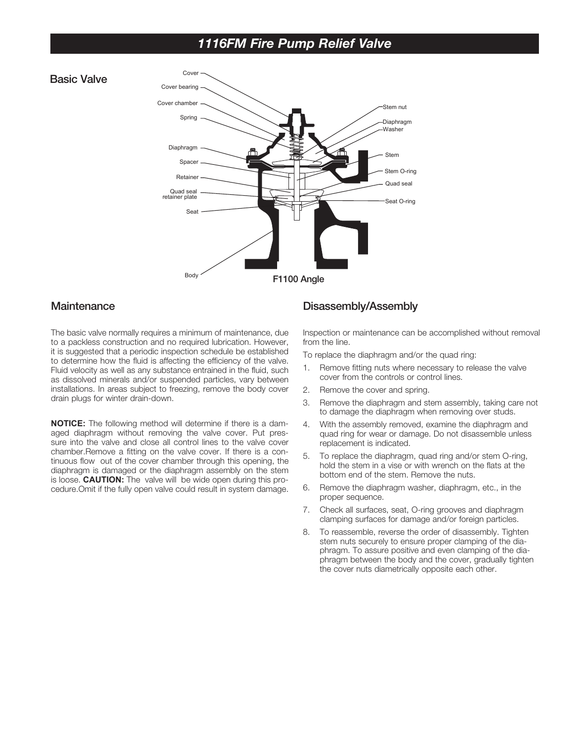# *1116FM Fire Pump Relief Valve*





#### **Maintenance**

The basic valve normally requires a minimum of maintenance, due to a packless construction and no required lubrication. However, it is suggested that a periodic inspection schedule be established to determine how the fluid is affecting the efficiency of the valve. Fluid velocity as well as any substance entrained in the fluid, such as dissolved minerals and/or suspended particles, vary between installations. In areas subject to freezing, remove the body cover drain plugs for winter drain-down.

**NOTICE:** The following method will determine if there is a damaged diaphragm without removing the valve cover. Put pressure into the valve and close all control lines to the valve cover chamber.Remove a fitting on the valve cover. If there is a continuous flow out of the cover chamber through this opening, the diaphragm is damaged or the diaphragm assembly on the stem is loose. **CAUTION:** The valve will be wide open during this procedure.Omit if the fully open valve could result in system damage.

#### Disassembly/Assembly

Inspection or maintenance can be accomplished without removal from the line.

To replace the diaphragm and/or the quad ring:

- 1. Remove fitting nuts where necessary to release the valve cover from the controls or control lines.
- 2. Remove the cover and spring.
- 3. Remove the diaphragm and stem assembly, taking care not to damage the diaphragm when removing over studs.
- 4. With the assembly removed, examine the diaphragm and quad ring for wear or damage. Do not disassemble unless replacement is indicated.
- 5. To replace the diaphragm, quad ring and/or stem O-ring, hold the stem in a vise or with wrench on the flats at the bottom end of the stem. Remove the nuts.
- 6. Remove the diaphragm washer, diaphragm, etc., in the proper sequence.
- 7. Check all surfaces, seat, O-ring grooves and diaphragm clamping surfaces for damage and/or foreign particles.
- 8. To reassemble, reverse the order of disassembly. Tighten stem nuts securely to ensure proper clamping of the diaphragm. To assure positive and even clamping of the diaphragm between the body and the cover, gradually tighten the cover nuts diametrically opposite each other.